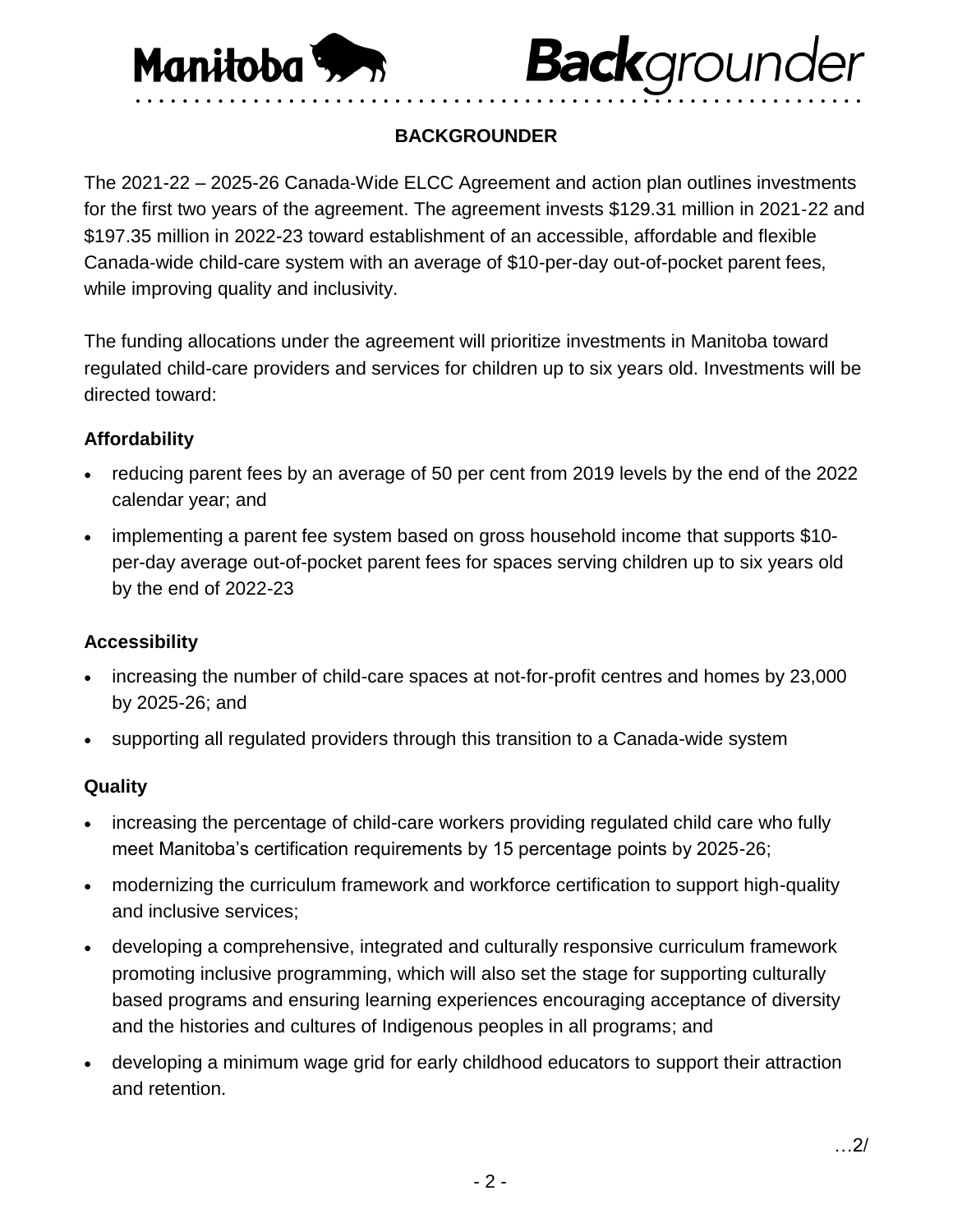

# **Back**grounder • • • • • • • • • • • • • • • • • • • • • • • • • • • • • • • • • • • • • • • • • • • • • • • • • • • • • • • • • • • • • •

# **BACKGROUNDER**

The 2021-22 – 2025-26 Canada‐Wide ELCC Agreement and action plan outlines investments for the first two years of the agreement. The agreement invests \$129.31 million in 2021‐22 and \$197.35 million in 2022-23 toward establishment of an accessible, affordable and flexible Canada‐wide child-care system with an average of \$10-per-day out-of-pocket parent fees, while improving quality and inclusivity.

The funding allocations under the agreement will prioritize investments in Manitoba toward regulated child-care providers and services for children up to six years old. Investments will be directed toward:

#### **Affordability**

- reducing parent fees by an average of 50 per cent from 2019 levels by the end of the 2022 calendar year; and
- implementing a parent fee system based on gross household income that supports \$10 per-day average out-of-pocket parent fees for spaces serving children up to six years old by the end of 2022-23

#### **Accessibility**

- increasing the number of child-care spaces at not‐for‐profit centres and homes by 23,000 by 2025-26; and
- supporting all regulated providers through this transition to a Canada-wide system

# **Quality**

- increasing the percentage of child-care workers providing regulated child care who fully meet Manitoba's certification requirements by 15 percentage points by 2025-26;
- modernizing the curriculum framework and workforce certification to support high-quality and inclusive services;
- developing a comprehensive, integrated and culturally responsive curriculum framework promoting inclusive programming, which will also set the stage for supporting culturally based programs and ensuring learning experiences encouraging acceptance of diversity and the histories and cultures of Indigenous peoples in all programs; and
- developing a minimum wage grid for early childhood educators to support their attraction and retention.